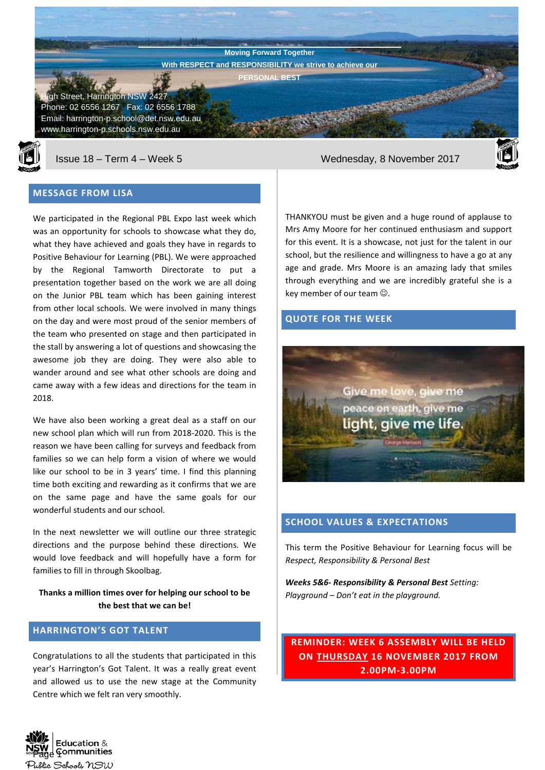**Harrington Public School Newsletter** Street, Harrington NSW 2427 Phone: 02 6556 1267 Fax: 02 6556 1788 Email: harrington-p.school@det.nsw.edu.au www.harrington-p.schools.nsw.edu.au **Moving Forward Together With RESPECT and RESPONSIBILITY we strive to achieve our PERSONAL BEST**



# **MESSAGE FROM LISA**

We participated in the Regional PBL Expo last week which was an opportunity for schools to showcase what they do, what they have achieved and goals they have in regards to Positive Behaviour for Learning (PBL). We were approached by the Regional Tamworth Directorate to put a presentation together based on the work we are all doing on the Junior PBL team which has been gaining interest from other local schools. We were involved in many things on the day and were most proud of the senior members of the team who presented on stage and then participated in the stall by answering a lot of questions and showcasing the awesome job they are doing. They were also able to wander around and see what other schools are doing and came away with a few ideas and directions for the team in 2018.

We have also been working a great deal as a staff on our new school plan which will run from 2018-2020. This is the reason we have been calling for surveys and feedback from families so we can help form a vision of where we would like our school to be in 3 years' time. I find this planning time both exciting and rewarding as it confirms that we are on the same page and have the same goals for our wonderful students and our school.

In the next newsletter we will outline our three strategic directions and the purpose behind these directions. We would love feedback and will hopefully have a form for families to fill in through Skoolbag.

**Thanks a million times over for helping our school to be the best that we can be!**

# **HARRINGTON'S GOT TALENT**

Congratulations to all the students that participated in this year's Harrington's Got Talent. It was a really great event and allowed us to use the new stage at the Community Centre which we felt ran very smoothly.

Issue 18 – Term 4 – Week 5 Wednesday, 8 November 2017



THANKYOU must be given and a huge round of applause to Mrs Amy Moore for her continued enthusiasm and support for this event. It is a showcase, not just for the talent in our school, but the resilience and willingness to have a go at any age and grade. Mrs Moore is an amazing lady that smiles through everything and we are incredibly grateful she is a key member of our team  $\odot$ .

# **QUOTE FOR THE WEEK**



# **SCHOOL VALUES & EXPECTATIONS**

This term the Positive Behaviour for Learning focus will be *Respect, Responsibility & Personal Best*

*Weeks 5&6- Responsibility & Personal Best Setting: Playground – Don't eat in the playground.*

**REMINDER: WEEK 6 ASSEMBLY WILL BE HELD ON THURSDAY 16 NOVEMBER 2017 FROM 2.00PM-3.00PM**

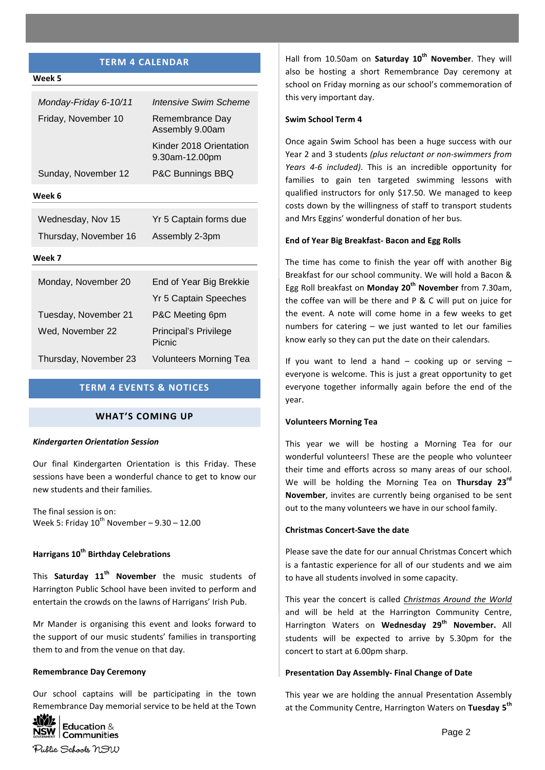# **TERM 4 CALENDAR**

| Intensive Swim Scheme                     |
|-------------------------------------------|
| Remembrance Dav<br>Assembly 9.00am        |
| Kinder 2018 Orientation<br>9.30am-12.00pm |
| P&C Bunnings BBQ                          |
|                                           |
| Yr 5 Captain forms due<br>Assembly 2-3pm  |
|                                           |

### **Week 7**

**Week 5**

| Monday, November 20   | End of Year Big Brekkie         |
|-----------------------|---------------------------------|
|                       | <b>Yr 5 Captain Speeches</b>    |
| Tuesday, November 21  | P&C Meeting 6pm                 |
| Wed, November 22      | Principal's Privilege<br>Picnic |
| Thursday, November 23 | <b>Volunteers Morning Tea</b>   |

# **TERM 4 EVENTS & NOTICES**

# **WHAT'S COMING UP**

### *Kindergarten Orientation Session*

Our final Kindergarten Orientation is this Friday. These sessions have been a wonderful chance to get to know our new students and their families.

The final session is on: Week 5: Friday  $10^{th}$  November – 9.30 – 12.00

# **Harrigans 10th Birthday Celebrations**

This **Saturday 11th November** the music students of Harrington Public School have been invited to perform and entertain the crowds on the lawns of Harrigans' Irish Pub.

Mr Mander is organising this event and looks forward to the support of our music students' families in transporting them to and from the venue on that day.

#### **Remembrance Day Ceremony**

Our school captains will be participating in the town Remembrance Day memorial service to be held at the Town



Hall from 10.50am on **Saturday 10th November**. They will also be hosting a short Remembrance Day ceremony at school on Friday morning as our school's commemoration of this very important day.

## **Swim School Term 4**

Once again Swim School has been a huge success with our Year 2 and 3 students *(plus reluctant or non-swimmers from Years 4-6 included)*. This is an incredible opportunity for families to gain ten targeted swimming lessons with qualified instructors for only \$17.50. We managed to keep costs down by the willingness of staff to transport students and Mrs Eggins' wonderful donation of her bus.

#### **End of Year Big Breakfast- Bacon and Egg Rolls**

The time has come to finish the year off with another Big Breakfast for our school community. We will hold a Bacon & Egg Roll breakfast on **Monday 20th November** from 7.30am, the coffee van will be there and P & C will put on juice for the event. A note will come home in a few weeks to get numbers for catering – we just wanted to let our families know early so they can put the date on their calendars.

If you want to lend a hand  $-$  cooking up or serving  $$ everyone is welcome. This is just a great opportunity to get everyone together informally again before the end of the year.

#### **Volunteers Morning Tea**

This year we will be hosting a Morning Tea for our wonderful volunteers! These are the people who volunteer their time and efforts across so many areas of our school. We will be holding the Morning Tea on **Thursday 23rd November**, invites are currently being organised to be sent out to the many volunteers we have in our school family.

#### **Christmas Concert-Save the date**

Please save the date for our annual Christmas Concert which is a fantastic experience for all of our students and we aim to have all students involved in some capacity.

This year the concert is called *Christmas Around the World* and will be held at the Harrington Community Centre, Harrington Waters on **Wednesday 29th November.** All students will be expected to arrive by 5.30pm for the concert to start at 6.00pm sharp.

#### **Presentation Day Assembly- Final Change of Date**

This year we are holding the annual Presentation Assembly at the Community Centre, Harrington Waters on **Tuesday 5th**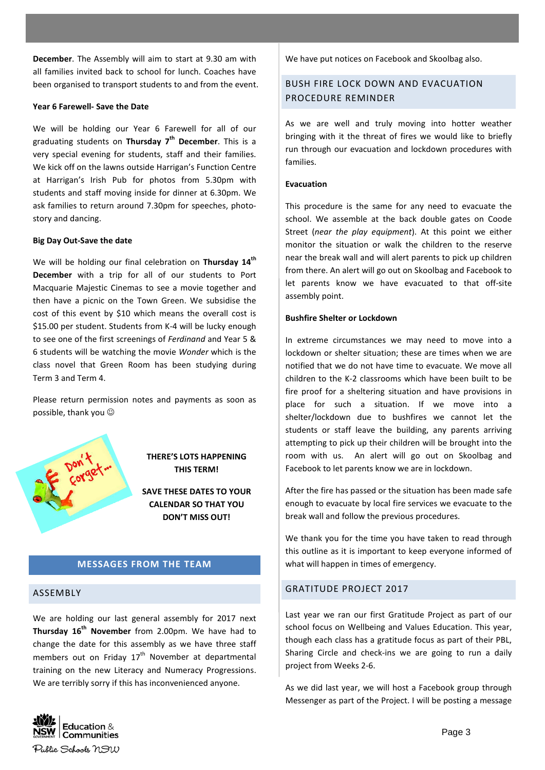**December**. The Assembly will aim to start at 9.30 am with all families invited back to school for lunch. Coaches have been organised to transport students to and from the event.

## **Year 6 Farewell- Save the Date**

We will be holding our Year 6 Farewell for all of our graduating students on **Thursday 7th December**. This is a very special evening for students, staff and their families. We kick off on the lawns outside Harrigan's Function Centre at Harrigan's Irish Pub for photos from 5.30pm with students and staff moving inside for dinner at 6.30pm. We ask families to return around 7.30pm for speeches, photostory and dancing.

### **Big Day Out-Save the date**

We will be holding our final celebration on **Thursday 14th December** with a trip for all of our students to Port Macquarie Majestic Cinemas to see a movie together and then have a picnic on the Town Green. We subsidise the cost of this event by \$10 which means the overall cost is \$15.00 per student. Students from K-4 will be lucky enough to see one of the first screenings of *Ferdinand* and Year 5 & 6 students will be watching the movie *Wonder* which is the class novel that Green Room has been studying during Term 3 and Term 4.

Please return permission notes and payments as soon as possible, thank you



**THERE'S LOTS HAPPENING THIS TERM!**

**SAVE THESE DATES TO YOUR CALENDAR SO THAT YOU DON'T MISS OUT!**

## **MESSAGES FROM THE TEAM**

### ASSEMBLY

We are holding our last general assembly for 2017 next **Thursday 16th November** from 2.00pm. We have had to change the date for this assembly as we have three staff members out on Friday  $17<sup>th</sup>$  November at departmental training on the new Literacy and Numeracy Progressions. We are terribly sorry if this has inconvenienced anyone.

We have put notices on Facebook and Skoolbag also.

# BUSH FIRE LOCK DOWN AND EVACUATION PROCEDURE REMINDER

As we are well and truly moving into hotter weather bringing with it the threat of fires we would like to briefly run through our evacuation and lockdown procedures with families.

## **Evacuation**

This procedure is the same for any need to evacuate the school. We assemble at the back double gates on Coode Street (*near the play equipment*). At this point we either monitor the situation or walk the children to the reserve near the break wall and will alert parents to pick up children from there. An alert will go out on Skoolbag and Facebook to let parents know we have evacuated to that off-site assembly point.

### **Bushfire Shelter or Lockdown**

In extreme circumstances we may need to move into a lockdown or shelter situation; these are times when we are notified that we do not have time to evacuate. We move all children to the K-2 classrooms which have been built to be fire proof for a sheltering situation and have provisions in place for such a situation. If we move into a shelter/lockdown due to bushfires we cannot let the students or staff leave the building, any parents arriving attempting to pick up their children will be brought into the room with us. An alert will go out on Skoolbag and Facebook to let parents know we are in lockdown.

After the fire has passed or the situation has been made safe enough to evacuate by local fire services we evacuate to the break wall and follow the previous procedures.

We thank you for the time you have taken to read through this outline as it is important to keep everyone informed of what will happen in times of emergency.

## GRATITUDE PROJECT 2017

Last year we ran our first Gratitude Project as part of our school focus on Wellbeing and Values Education. This year, though each class has a gratitude focus as part of their PBL, Sharing Circle and check-ins we are going to run a daily project from Weeks 2-6.

As we did last year, we will host a Facebook group through Messenger as part of the Project. I will be posting a message

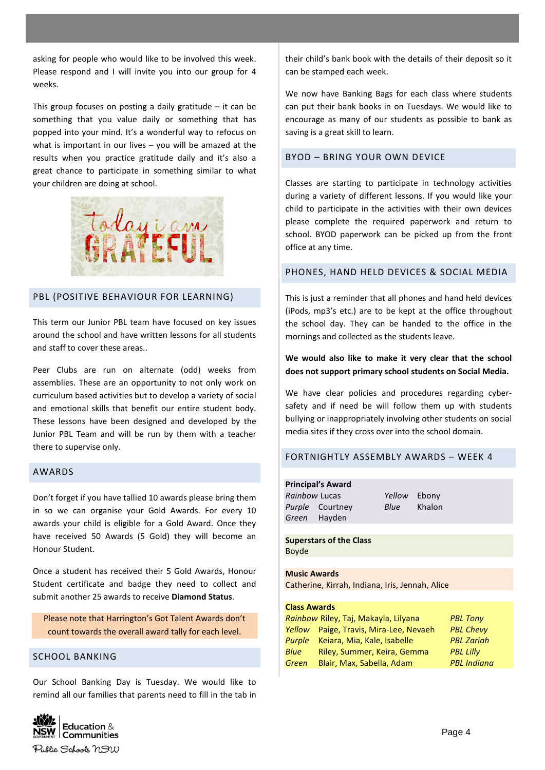asking for people who would like to be involved this week. Please respond and I will invite you into our group for 4 weeks.

This group focuses on posting a daily gratitude – it can be something that you value daily or something that has popped into your mind. It's a wonderful way to refocus on what is important in our lives – you will be amazed at the results when you practice gratitude daily and it's also a great chance to participate in something similar to what your children are doing at school.



# PBL (POSITIVE BEHAVIOUR FOR LEARNING)

This term our Junior PBL team have focused on key issues around the school and have written lessons for all students and staff to cover these areas..

Peer Clubs are run on alternate (odd) weeks from assemblies. These are an opportunity to not only work on curriculum based activities but to develop a variety of social and emotional skills that benefit our entire student body. These lessons have been designed and developed by the Junior PBL Team and will be run by them with a teacher there to supervise only.

## AWARDS

Don't forget if you have tallied 10 awards please bring them in so we can organise your Gold Awards. For every 10 awards your child is eligible for a Gold Award. Once they have received 50 Awards (5 Gold) they will become an Honour Student.

Once a student has received their 5 Gold Awards, Honour Student certificate and badge they need to collect and submit another 25 awards to receive **Diamond Status**.

Please note that Harrington's Got Talent Awards don't count towards the overall award tally for each level.

# SCHOOL BANKING

Our School Banking Day is Tuesday. We would like to remind all our families that parents need to fill in the tab in



their child's bank book with the details of their deposit so it can be stamped each week.

We now have Banking Bags for each class where students can put their bank books in on Tuesdays. We would like to encourage as many of our students as possible to bank as saving is a great skill to learn.

# BYOD – BRING YOUR OWN DEVICE

Classes are starting to participate in technology activities during a variety of different lessons. If you would like your child to participate in the activities with their own devices please complete the required paperwork and return to school. BYOD paperwork can be picked up from the front office at any time.

## PHONES, HAND HELD DEVICES & SOCIAL MEDIA

This is just a reminder that all phones and hand held devices (iPods, mp3's etc.) are to be kept at the office throughout the school day. They can be handed to the office in the mornings and collected as the students leave.

# **We would also like to make it very clear that the school does not support primary school students on Social Media.**

We have clear policies and procedures regarding cybersafety and if need be will follow them up with students bullying or inappropriately involving other students on social media sites if they cross over into the school domain.

## FORTNIGHTLY ASSEMBLY AWARDS – WEEK 4

**Principal's Award** *Rainbow* Lucas *Yellow* Ebony *Purple* Courtney *Blue* Khalon *Green* Hayden

**Superstars of the Class** Boyde

**Music Awards** Catherine, Kirrah, Indiana, Iris, Jennah, Alice

### **Class Awards**

|       | Rainbow Riley, Taj, Makayla, Lilyana   | <b>PBL Tony</b>    |
|-------|----------------------------------------|--------------------|
|       | Yellow Paige, Travis, Mira-Lee, Nevaeh | <b>PBL Chevy</b>   |
|       | Purple Keiara, Mia, Kale, Isabelle     | <b>PBL Zariah</b>  |
| Blue  | Riley, Summer, Keira, Gemma            | <b>PBL Lilly</b>   |
| Green | Blair, Max, Sabella, Adam              | <b>PBL</b> Indiana |
|       |                                        |                    |